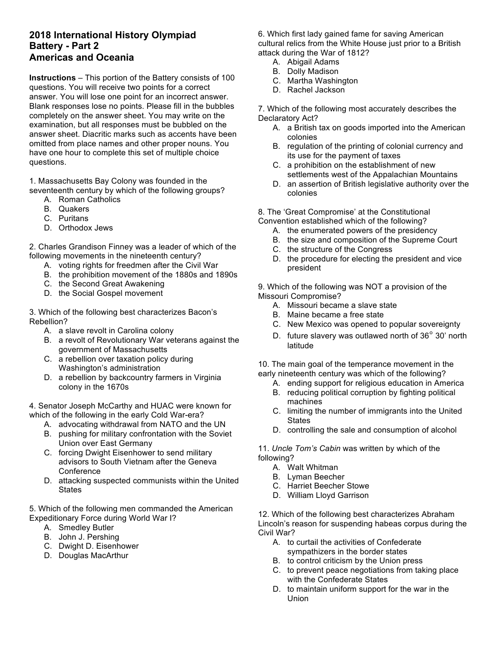## **2018 International History Olympiad Battery - Part 2 Americas and Oceania**

**Instructions** – This portion of the Battery consists of 100 questions. You will receive two points for a correct answer. You will lose one point for an incorrect answer. Blank responses lose no points. Please fill in the bubbles completely on the answer sheet. You may write on the examination, but all responses must be bubbled on the answer sheet. Diacritic marks such as accents have been omitted from place names and other proper nouns. You have one hour to complete this set of multiple choice questions.

1. Massachusetts Bay Colony was founded in the seventeenth century by which of the following groups?

- A. Roman Catholics
- B. Quakers
- C. Puritans
- D. Orthodox Jews

2. Charles Grandison Finney was a leader of which of the following movements in the nineteenth century?

- A. voting rights for freedmen after the Civil War
- B. the prohibition movement of the 1880s and 1890s
- C. the Second Great Awakening
- D. the Social Gospel movement

3. Which of the following best characterizes Bacon's Rebellion?

- A. a slave revolt in Carolina colony
- B. a revolt of Revolutionary War veterans against the government of Massachusetts
- C. a rebellion over taxation policy during Washington's administration
- D. a rebellion by backcountry farmers in Virginia colony in the 1670s

4. Senator Joseph McCarthy and HUAC were known for which of the following in the early Cold War-era?

- A. advocating withdrawal from NATO and the UN
- B. pushing for military confrontation with the Soviet Union over East Germany
- C. forcing Dwight Eisenhower to send military advisors to South Vietnam after the Geneva **Conference**
- D. attacking suspected communists within the United **States**

5. Which of the following men commanded the American Expeditionary Force during World War I?

- A. Smedley Butler
- B. John J. Pershing
- C. Dwight D. Eisenhower
- D. Douglas MacArthur

6. Which first lady gained fame for saving American cultural relics from the White House just prior to a British attack during the War of 1812?

- A. Abigail Adams
- B. Dolly Madison
- C. Martha Washington
- D. Rachel Jackson

7. Which of the following most accurately describes the Declaratory Act?

- A. a British tax on goods imported into the American colonies
- B. regulation of the printing of colonial currency and its use for the payment of taxes
- C. a prohibition on the establishment of new settlements west of the Appalachian Mountains
- D. an assertion of British legislative authority over the colonies

8. The 'Great Compromise' at the Constitutional

Convention established which of the following?

- A. the enumerated powers of the presidency
- B. the size and composition of the Supreme Court
- C. the structure of the Congress
- D. the procedure for electing the president and vice president

9. Which of the following was NOT a provision of the Missouri Compromise?

- A. Missouri became a slave state
- B. Maine became a free state
- C. New Mexico was opened to popular sovereignty
- D. future slavery was outlawed north of 36° 30' north latitude

10. The main goal of the temperance movement in the early nineteenth century was which of the following?

- A. ending support for religious education in America
- B. reducing political corruption by fighting political machines
- C. limiting the number of immigrants into the United **States**
- D. controlling the sale and consumption of alcohol

11. *Uncle Tom's Cabin* was written by which of the following?

- A. Walt Whitman
- B. Lyman Beecher
- C. Harriet Beecher Stowe
- D. William Lloyd Garrison

12. Which of the following best characterizes Abraham Lincoln's reason for suspending habeas corpus during the Civil War?

- A. to curtail the activities of Confederate sympathizers in the border states
- B. to control criticism by the Union press
- C. to prevent peace negotiations from taking place with the Confederate States
- D. to maintain uniform support for the war in the Union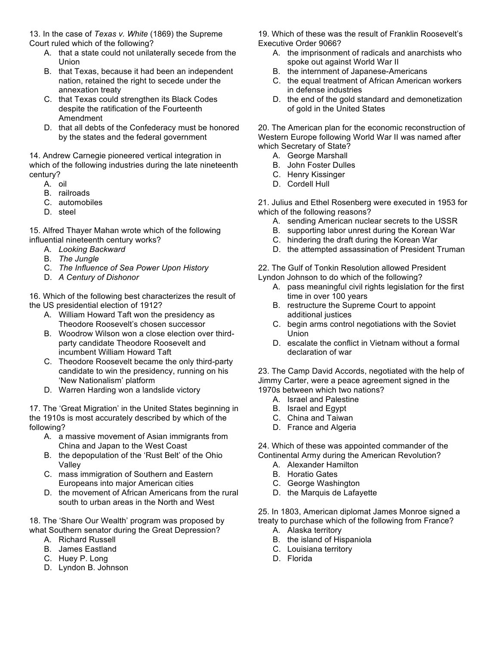13. In the case of *Texas v. White* (1869) the Supreme Court ruled which of the following?

- A. that a state could not unilaterally secede from the Union
- B. that Texas, because it had been an independent nation, retained the right to secede under the annexation treaty
- C. that Texas could strengthen its Black Codes despite the ratification of the Fourteenth Amendment
- D. that all debts of the Confederacy must be honored by the states and the federal government

14. Andrew Carnegie pioneered vertical integration in which of the following industries during the late nineteenth century?

- A. oil
- B. railroads
- C. automobiles
- D. steel

15. Alfred Thayer Mahan wrote which of the following influential nineteenth century works?

- A. *Looking Backward*
- B. *The Jungle*
- C. *The Influence of Sea Power Upon History*
- D. *A Century of Dishonor*

16. Which of the following best characterizes the result of the US presidential election of 1912?

- A. William Howard Taft won the presidency as Theodore Roosevelt's chosen successor
- B. Woodrow Wilson won a close election over thirdparty candidate Theodore Roosevelt and incumbent William Howard Taft
- C. Theodore Roosevelt became the only third-party candidate to win the presidency, running on his 'New Nationalism' platform
- D. Warren Harding won a landslide victory

17. The 'Great Migration' in the United States beginning in the 1910s is most accurately described by which of the following?

- A. a massive movement of Asian immigrants from China and Japan to the West Coast
- B. the depopulation of the 'Rust Belt' of the Ohio Valley
- C. mass immigration of Southern and Eastern Europeans into major American cities
- D. the movement of African Americans from the rural south to urban areas in the North and West

18. The 'Share Our Wealth' program was proposed by what Southern senator during the Great Depression?

- A. Richard Russell
- B. James Eastland
- C. Huey P. Long
- D. Lyndon B. Johnson

19. Which of these was the result of Franklin Roosevelt's Executive Order 9066?

- A. the imprisonment of radicals and anarchists who spoke out against World War II
- B. the internment of Japanese-Americans
- C. the equal treatment of African American workers in defense industries
- D. the end of the gold standard and demonetization of gold in the United States

20. The American plan for the economic reconstruction of Western Europe following World War II was named after which Secretary of State?

- A. George Marshall
- B. John Foster Dulles
- C. Henry Kissinger
- D. Cordell Hull

21. Julius and Ethel Rosenberg were executed in 1953 for which of the following reasons?

- A. sending American nuclear secrets to the USSR
- B. supporting labor unrest during the Korean War
- C. hindering the draft during the Korean War
- D. the attempted assassination of President Truman

22. The Gulf of Tonkin Resolution allowed President Lyndon Johnson to do which of the following?

- A. pass meaningful civil rights legislation for the first time in over 100 years
- B. restructure the Supreme Court to appoint additional justices
- C. begin arms control negotiations with the Soviet Union
- D. escalate the conflict in Vietnam without a formal declaration of war

23. The Camp David Accords, negotiated with the help of Jimmy Carter, were a peace agreement signed in the 1970s between which two nations?

- A. Israel and Palestine
- B. Israel and Egypt
- C. China and Taiwan
- D. France and Algeria

24. Which of these was appointed commander of the Continental Army during the American Revolution?

- A. Alexander Hamilton
- B. Horatio Gates
- C. George Washington
- D. the Marquis de Lafayette

25. In 1803, American diplomat James Monroe signed a treaty to purchase which of the following from France?

- A. Alaska territory
- B. the island of Hispaniola
- C. Louisiana territory
- D. Florida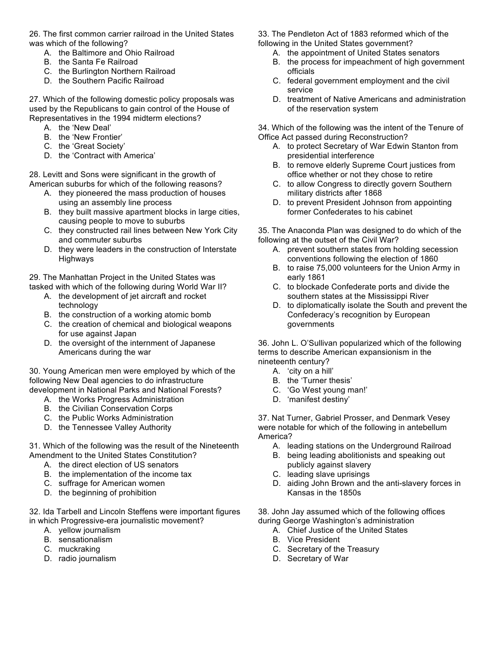26. The first common carrier railroad in the United States was which of the following?

- A. the Baltimore and Ohio Railroad
- B. the Santa Fe Railroad
- C. the Burlington Northern Railroad
- D. the Southern Pacific Railroad

27. Which of the following domestic policy proposals was used by the Republicans to gain control of the House of Representatives in the 1994 midterm elections?

- A. the 'New Deal'
- B. the 'New Frontier'
- C. the 'Great Society'
- D. the 'Contract with America'

28. Levitt and Sons were significant in the growth of American suburbs for which of the following reasons?

- A. they pioneered the mass production of houses using an assembly line process
- B. they built massive apartment blocks in large cities, causing people to move to suburbs
- C. they constructed rail lines between New York City and commuter suburbs
- D. they were leaders in the construction of Interstate Highways

29. The Manhattan Project in the United States was tasked with which of the following during World War II?

- A. the development of jet aircraft and rocket technology
- B. the construction of a working atomic bomb
- C. the creation of chemical and biological weapons for use against Japan
- D. the oversight of the internment of Japanese Americans during the war

30. Young American men were employed by which of the following New Deal agencies to do infrastructure development in National Parks and National Forests?

- A. the Works Progress Administration
- B. the Civilian Conservation Corps
- C. the Public Works Administration
- D. the Tennessee Valley Authority

31. Which of the following was the result of the Nineteenth Amendment to the United States Constitution?

- A. the direct election of US senators
- B. the implementation of the income tax
- C. suffrage for American women
- D. the beginning of prohibition

32. Ida Tarbell and Lincoln Steffens were important figures in which Progressive-era journalistic movement?

- A. yellow journalism
- B. sensationalism
- C. muckraking
- D. radio journalism

33. The Pendleton Act of 1883 reformed which of the following in the United States government?

- A. the appointment of United States senators
- B. the process for impeachment of high government officials
- C. federal government employment and the civil service
- D. treatment of Native Americans and administration of the reservation system

34. Which of the following was the intent of the Tenure of Office Act passed during Reconstruction?

- A. to protect Secretary of War Edwin Stanton from presidential interference
- B. to remove elderly Supreme Court justices from office whether or not they chose to retire
- C. to allow Congress to directly govern Southern military districts after 1868
- D. to prevent President Johnson from appointing former Confederates to his cabinet

35. The Anaconda Plan was designed to do which of the following at the outset of the Civil War?

- A. prevent southern states from holding secession conventions following the election of 1860
- B. to raise 75,000 volunteers for the Union Army in early 1861
- C. to blockade Confederate ports and divide the southern states at the Mississippi River
- D. to diplomatically isolate the South and prevent the Confederacy's recognition by European governments

36. John L. O'Sullivan popularized which of the following terms to describe American expansionism in the nineteenth century?

- A. 'city on a hill'
- B. the 'Turner thesis'
- C. 'Go West young man!'
- D. 'manifest destiny'

37. Nat Turner, Gabriel Prosser, and Denmark Vesey were notable for which of the following in antebellum America?

- A. leading stations on the Underground Railroad
- B. being leading abolitionists and speaking out publicly against slavery
- C. leading slave uprisings
- D. aiding John Brown and the anti-slavery forces in Kansas in the 1850s

38. John Jay assumed which of the following offices during George Washington's administration

- A. Chief Justice of the United States
- B. Vice President
- C. Secretary of the Treasury
- D. Secretary of War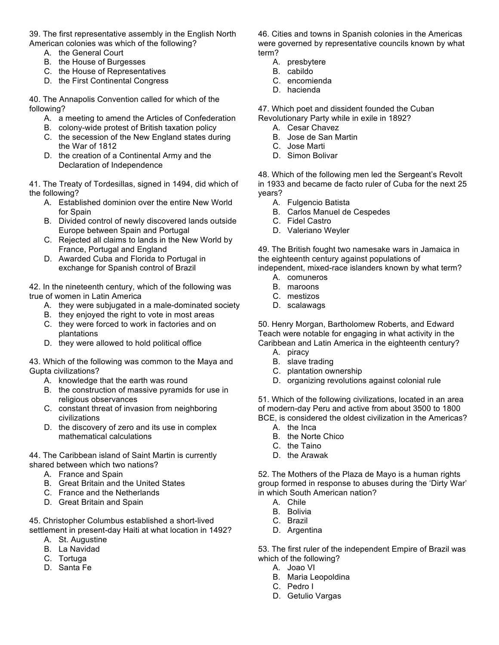39. The first representative assembly in the English North American colonies was which of the following?

- A. the General Court
- B. the House of Burgesses
- C. the House of Representatives
- D. the First Continental Congress

40. The Annapolis Convention called for which of the following?

- A. a meeting to amend the Articles of Confederation
- B. colony-wide protest of British taxation policy
- C. the secession of the New England states during the War of 1812
- D. the creation of a Continental Army and the Declaration of Independence

41. The Treaty of Tordesillas, signed in 1494, did which of the following?

- A. Established dominion over the entire New World for Spain
- B. Divided control of newly discovered lands outside Europe between Spain and Portugal
- C. Rejected all claims to lands in the New World by France, Portugal and England
- D. Awarded Cuba and Florida to Portugal in exchange for Spanish control of Brazil

42. In the nineteenth century, which of the following was true of women in Latin America

- A. they were subjugated in a male-dominated society
- B. they enjoyed the right to vote in most areas
- C. they were forced to work in factories and on plantations
- D. they were allowed to hold political office

43. Which of the following was common to the Maya and Gupta civilizations?

- A. knowledge that the earth was round
- B. the construction of massive pyramids for use in religious observances
- C. constant threat of invasion from neighboring civilizations
- D. the discovery of zero and its use in complex mathematical calculations

44. The Caribbean island of Saint Martin is currently shared between which two nations?

- A. France and Spain
- B. Great Britain and the United States
- C. France and the Netherlands
- D. Great Britain and Spain

45. Christopher Columbus established a short-lived settlement in present-day Haiti at what location in 1492?

- A. St. Augustine
- B. La Navidad
- C. Tortuga
- D. Santa Fe

46. Cities and towns in Spanish colonies in the Americas were governed by representative councils known by what term?

- A. presbytere
- B. cabildo
- C. encomienda
- D. hacienda

47. Which poet and dissident founded the Cuban Revolutionary Party while in exile in 1892?

- A. Cesar Chavez
- B. Jose de San Martin
- C. Jose Marti
- D. Simon Bolivar

48. Which of the following men led the Sergeant's Revolt in 1933 and became de facto ruler of Cuba for the next 25 years?

- A. Fulgencio Batista
- B. Carlos Manuel de Cespedes
- C. Fidel Castro
- D. Valeriano Weyler

49. The British fought two namesake wars in Jamaica in the eighteenth century against populations of

independent, mixed-race islanders known by what term? A. comuneros

- B. maroons
- C. mestizos
- D. scalawags

50. Henry Morgan, Bartholomew Roberts, and Edward Teach were notable for engaging in what activity in the Caribbean and Latin America in the eighteenth century?

- A. piracy
- B. slave trading
- C. plantation ownership
- D. organizing revolutions against colonial rule

51. Which of the following civilizations, located in an area of modern-day Peru and active from about 3500 to 1800 BCE, is considered the oldest civilization in the Americas?

- A. the Inca
- B. the Norte Chico
- C. the Taino
- D. the Arawak

52. The Mothers of the Plaza de Mayo is a human rights group formed in response to abuses during the 'Dirty War' in which South American nation?

- A. Chile
- B. Bolivia
- C. Brazil
- D. Argentina

53. The first ruler of the independent Empire of Brazil was which of the following?

- A. Joao VI
- B. Maria Leopoldina
- C. Pedro I
- D. Getulio Vargas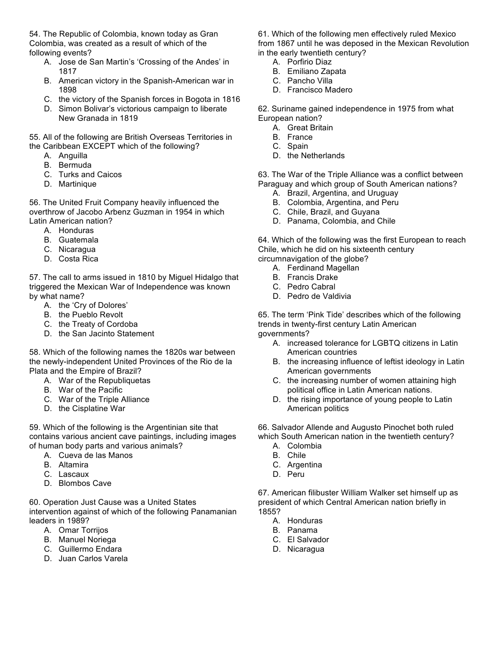54. The Republic of Colombia, known today as Gran Colombia, was created as a result of which of the following events?

- A. Jose de San Martin's 'Crossing of the Andes' in 1817
- B. American victory in the Spanish-American war in 1898
- C. the victory of the Spanish forces in Bogota in 1816
- D. Simon Bolivar's victorious campaign to liberate New Granada in 1819

55. All of the following are British Overseas Territories in the Caribbean EXCEPT which of the following?

- A. Anguilla
- B. Bermuda
- C. Turks and Caicos
- D. Martinique

56. The United Fruit Company heavily influenced the overthrow of Jacobo Arbenz Guzman in 1954 in which Latin American nation?

- A. Honduras
- B. Guatemala
- C. Nicaragua
- D. Costa Rica

57. The call to arms issued in 1810 by Miguel Hidalgo that triggered the Mexican War of Independence was known by what name?

- A. the 'Cry of Dolores'
- B. the Pueblo Revolt
- C. the Treaty of Cordoba
- D. the San Jacinto Statement

58. Which of the following names the 1820s war between the newly-independent United Provinces of the Rio de la Plata and the Empire of Brazil?

- A. War of the Republiquetas
- B. War of the Pacific
- C. War of the Triple Alliance
- D. the Cisplatine War

59. Which of the following is the Argentinian site that contains various ancient cave paintings, including images of human body parts and various animals?

- A. Cueva de las Manos
- B. Altamira
- C. Lascaux
- D. Blombos Cave

60. Operation Just Cause was a United States intervention against of which of the following Panamanian leaders in 1989?

- A. Omar Torrijos
- B. Manuel Noriega
- C. Guillermo Endara
- D. Juan Carlos Varela

61. Which of the following men effectively ruled Mexico from 1867 until he was deposed in the Mexican Revolution in the early twentieth century?

- A. Porfirio Diaz
- B. Emiliano Zapata
- C. Pancho Villa
- D. Francisco Madero

62. Suriname gained independence in 1975 from what European nation?

- A. Great Britain
- B. France
- C. Spain
- D. the Netherlands

63. The War of the Triple Alliance was a conflict between Paraguay and which group of South American nations?

- A. Brazil, Argentina, and Uruguay
- B. Colombia, Argentina, and Peru
- C. Chile, Brazil, and Guyana
- D. Panama, Colombia, and Chile

64. Which of the following was the first European to reach Chile, which he did on his sixteenth century circumnavigation of the globe?

- A. Ferdinand Magellan
- B. Francis Drake
- C. Pedro Cabral
- D. Pedro de Valdivia

65. The term 'Pink Tide' describes which of the following trends in twenty-first century Latin American governments?

- A. increased tolerance for LGBTQ citizens in Latin American countries
- B. the increasing influence of leftist ideology in Latin American governments
- C. the increasing number of women attaining high political office in Latin American nations.
- D. the rising importance of young people to Latin American politics

66. Salvador Allende and Augusto Pinochet both ruled which South American nation in the twentieth century?

- A. Colombia
- B. Chile
- C. Argentina
- D. Peru

67. American filibuster William Walker set himself up as president of which Central American nation briefly in 1855?

- A. Honduras
- B. Panama
- C. El Salvador
- D. Nicaragua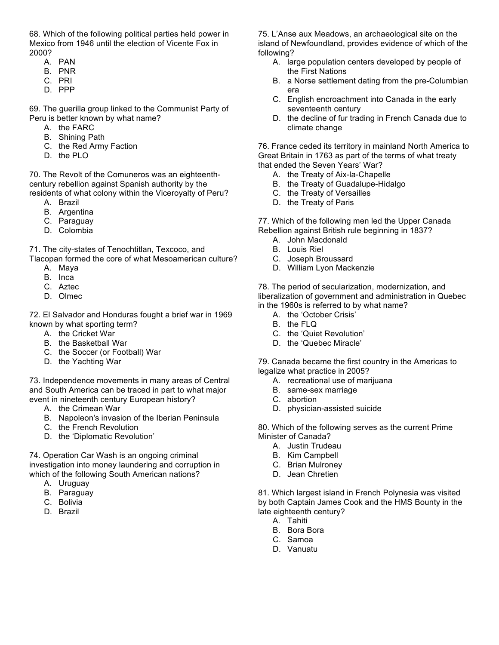68. Which of the following political parties held power in Mexico from 1946 until the election of Vicente Fox in 2000?

- A. PAN
- B. PNR
- C. PRI
- D. PPP

69. The guerilla group linked to the Communist Party of Peru is better known by what name?

- A. the FARC
- B. Shining Path
- C. the Red Army Faction
- D. the PLO

70. The Revolt of the Comuneros was an eighteenthcentury rebellion against Spanish authority by the residents of what colony within the Viceroyalty of Peru?

- A. Brazil
- B. Argentina
- C. Paraguay
- D. Colombia

71. The city-states of Tenochtitlan, Texcoco, and Tlacopan formed the core of what Mesoamerican culture?

- A. Maya
- B. Inca
- C. Aztec
- D. Olmec

72. El Salvador and Honduras fought a brief war in 1969 known by what sporting term?

- A. the Cricket War
- B. the Basketball War
- C. the Soccer (or Football) War
- D. the Yachting War

73. Independence movements in many areas of Central and South America can be traced in part to what major event in nineteenth century European history?

- A. the Crimean War
- B. Napoleon's invasion of the Iberian Peninsula
- C. the French Revolution
- D. the 'Diplomatic Revolution'

74. Operation Car Wash is an ongoing criminal investigation into money laundering and corruption in which of the following South American nations?

- A. Uruguay
- B. Paraguay
- C. Bolivia
- D. Brazil

75. L'Anse aux Meadows, an archaeological site on the island of Newfoundland, provides evidence of which of the following?

- A. large population centers developed by people of the First Nations
- B. a Norse settlement dating from the pre-Columbian era
- C. English encroachment into Canada in the early seventeenth century
- D. the decline of fur trading in French Canada due to climate change

76. France ceded its territory in mainland North America to Great Britain in 1763 as part of the terms of what treaty that ended the Seven Years' War?

- A. the Treaty of Aix-la-Chapelle
- B. the Treaty of Guadalupe-Hidalgo
- C. the Treaty of Versailles
- D. the Treaty of Paris

77. Which of the following men led the Upper Canada Rebellion against British rule beginning in 1837?

- A. John Macdonald
- B. Louis Riel
- C. Joseph Broussard
- D. William Lyon Mackenzie

78. The period of secularization, modernization, and liberalization of government and administration in Quebec in the 1960s is referred to by what name?

- A. the 'October Crisis'
- B. the FLQ
- C. the 'Quiet Revolution'
- D. the 'Quebec Miracle'

79. Canada became the first country in the Americas to legalize what practice in 2005?

- A. recreational use of marijuana
- B. same-sex marriage
- C. abortion
- D. physician-assisted suicide

80. Which of the following serves as the current Prime Minister of Canada?

- A. Justin Trudeau
- B. Kim Campbell
- C. Brian Mulroney
- D. Jean Chretien

81. Which largest island in French Polynesia was visited by both Captain James Cook and the HMS Bounty in the late eighteenth century?

- A. Tahiti
- B. Bora Bora
- C. Samoa
- D. Vanuatu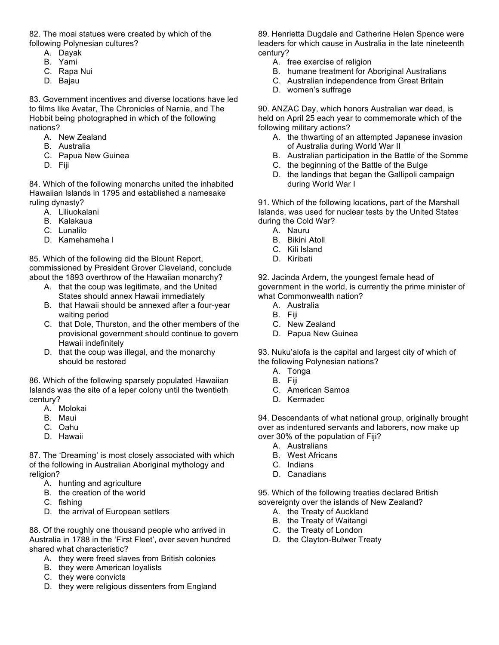82. The moai statues were created by which of the following Polynesian cultures?

- A. Dayak
- B. Yami
- C. Rapa Nui
- D. Bajau

83. Government incentives and diverse locations have led to films like Avatar, The Chronicles of Narnia, and The Hobbit being photographed in which of the following nations?

- A. New Zealand
- B. Australia
- C. Papua New Guinea
- D. Fiji

84. Which of the following monarchs united the inhabited Hawaiian Islands in 1795 and established a namesake ruling dynasty?

- A. Liliuokalani
- B. Kalakaua
- C. Lunalilo
- D. Kamehameha I

85. Which of the following did the Blount Report, commissioned by President Grover Cleveland, conclude about the 1893 overthrow of the Hawaiian monarchy?

- A. that the coup was legitimate, and the United States should annex Hawaii immediately
- B. that Hawaii should be annexed after a four-year waiting period
- C. that Dole, Thurston, and the other members of the provisional government should continue to govern Hawaii indefinitely
- D. that the coup was illegal, and the monarchy should be restored

86. Which of the following sparsely populated Hawaiian Islands was the site of a leper colony until the twentieth century?

- A. Molokai
- B. Maui
- C. Oahu
- D. Hawaii

87. The 'Dreaming' is most closely associated with which of the following in Australian Aboriginal mythology and religion?

- A. hunting and agriculture
- B. the creation of the world
- C. fishing
- D. the arrival of European settlers

88. Of the roughly one thousand people who arrived in Australia in 1788 in the 'First Fleet', over seven hundred shared what characteristic?

- A. they were freed slaves from British colonies
- B. they were American loyalists
- C. they were convicts
- D. they were religious dissenters from England

89. Henrietta Dugdale and Catherine Helen Spence were leaders for which cause in Australia in the late nineteenth century?

- A. free exercise of religion
- B. humane treatment for Aboriginal Australians
- C. Australian independence from Great Britain
- D. women's suffrage

90. ANZAC Day, which honors Australian war dead, is held on April 25 each year to commemorate which of the following military actions?

- A. the thwarting of an attempted Japanese invasion of Australia during World War II
- B. Australian participation in the Battle of the Somme
- C. the beginning of the Battle of the Bulge
- D. the landings that began the Gallipoli campaign during World War I

91. Which of the following locations, part of the Marshall Islands, was used for nuclear tests by the United States during the Cold War?

- A. Nauru
- B. Bikini Atoll
- C. Kili Island
- D. Kiribati

92. Jacinda Ardern, the youngest female head of government in the world, is currently the prime minister of what Commonwealth nation?

- A. Australia
- B. Fiji
- C. New Zealand
- D. Papua New Guinea

93. Nuku'alofa is the capital and largest city of which of the following Polynesian nations?

- A. Tonga
- B. Fiji
- C. American Samoa
- D. Kermadec

94. Descendants of what national group, originally brought over as indentured servants and laborers, now make up over 30% of the population of Fiji?

- A. Australians
- B. West Africans
- C. Indians
- D. Canadians

95. Which of the following treaties declared British sovereignty over the islands of New Zealand?

- A. the Treaty of Auckland
- B. the Treaty of Waitangi
- C. the Treaty of London
- D. the Clayton-Bulwer Treaty